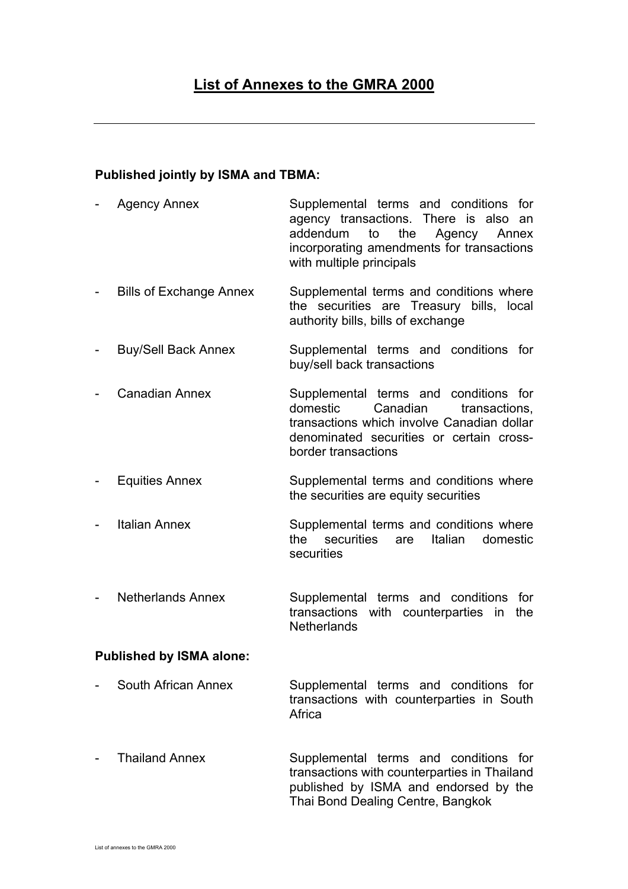## **Published jointly by ISMA and TBMA:**

- Agency Annex Supplemental terms and conditions for agency transactions. There is also an addendum to the Agency Annex incorporating amendments for transactions with multiple principals
- Bills of Exchange Annex Supplemental terms and conditions where the securities are Treasury bills, local authority bills, bills of exchange
- Buy/Sell Back Annex Supplemental terms and conditions for buy/sell back transactions
- Canadian Annex Supplemental terms and conditions for domestic Canadian transactions. transactions which involve Canadian dollar denominated securities or certain crossborder transactions
- Equities Annex Supplemental terms and conditions where the securities are equity securities
- Italian Annex Supplemental terms and conditions where the securities are Italian domestic **securities**
- Netherlands Annex Supplemental terms and conditions for transactions with counterparties in the **Netherlands**

## **Published by ISMA alone:**

- South African Annex Supplemental terms and conditions for transactions with counterparties in South **Africa**
- Thailand Annex Supplemental terms and conditions for transactions with counterparties in Thailand published by ISMA and endorsed by the Thai Bond Dealing Centre, Bangkok